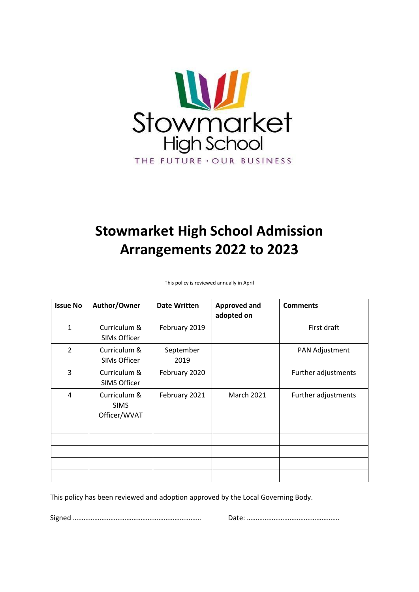

# **Stowmarket High School Admission Arrangements 2022 to 2023**

This policy is reviewed annually in April

| <b>Issue No</b> | Author/Owner                                | <b>Date Written</b> | <b>Approved and</b><br>adopted on | <b>Comments</b>     |
|-----------------|---------------------------------------------|---------------------|-----------------------------------|---------------------|
| 1               | Curriculum &<br><b>SIMs Officer</b>         | February 2019       |                                   | First draft         |
| $\overline{2}$  | Curriculum &<br><b>SIMs Officer</b>         | September<br>2019   |                                   | PAN Adjustment      |
| 3               | Curriculum &<br><b>SIMS Officer</b>         | February 2020       |                                   | Further adjustments |
| 4               | Curriculum &<br><b>SIMS</b><br>Officer/WVAT | February 2021       | <b>March 2021</b>                 | Further adjustments |
|                 |                                             |                     |                                   |                     |
|                 |                                             |                     |                                   |                     |
|                 |                                             |                     |                                   |                     |
|                 |                                             |                     |                                   |                     |
|                 |                                             |                     |                                   |                     |

This policy has been reviewed and adoption approved by the Local Governing Body.

Signed ……………………………………………………………… Date: …………………………………………….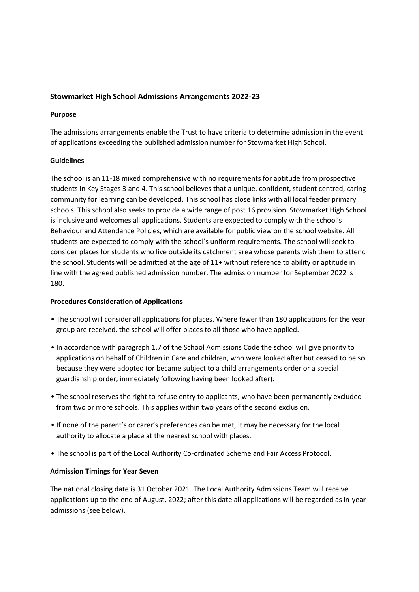# **Stowmarket High School Admissions Arrangements 2022-23**

#### **Purpose**

The admissions arrangements enable the Trust to have criteria to determine admission in the event of applications exceeding the published admission number for Stowmarket High School.

#### **Guidelines**

The school is an 11-18 mixed comprehensive with no requirements for aptitude from prospective students in Key Stages 3 and 4. This school believes that a unique, confident, student centred, caring community for learning can be developed. This school has close links with all local feeder primary schools. This school also seeks to provide a wide range of post 16 provision. Stowmarket High School is inclusive and welcomes all applications. Students are expected to comply with the school's Behaviour and Attendance Policies, which are available for public view on the school website. All students are expected to comply with the school's uniform requirements. The school will seek to consider places for students who live outside its catchment area whose parents wish them to attend the school. Students will be admitted at the age of 11+ without reference to ability or aptitude in line with the agreed published admission number. The admission number for September 2022 is 180.

#### **Procedures Consideration of Applications**

- The school will consider all applications for places. Where fewer than 180 applications for the year group are received, the school will offer places to all those who have applied.
- In accordance with paragraph 1.7 of the School Admissions Code the school will give priority to applications on behalf of Children in Care and children, who were looked after but ceased to be so because they were adopted (or became subject to a child arrangements order or a special guardianship order, immediately following having been looked after).
- The school reserves the right to refuse entry to applicants, who have been permanently excluded from two or more schools. This applies within two years of the second exclusion.
- If none of the parent's or carer's preferences can be met, it may be necessary for the local authority to allocate a place at the nearest school with places.
- The school is part of the Local Authority Co-ordinated Scheme and Fair Access Protocol.

#### **Admission Timings for Year Seven**

The national closing date is 31 October 2021. The Local Authority Admissions Team will receive applications up to the end of August, 2022; after this date all applications will be regarded as in-year admissions (see below).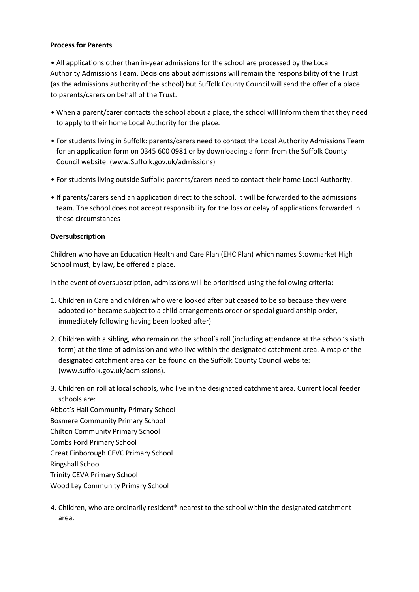## **Process for Parents**

• All applications other than in-year admissions for the school are processed by the Local Authority Admissions Team. Decisions about admissions will remain the responsibility of the Trust (as the admissions authority of the school) but Suffolk County Council will send the offer of a place to parents/carers on behalf of the Trust.

- When a parent/carer contacts the school about a place, the school will inform them that they need to apply to their home Local Authority for the place.
- For students living in Suffolk: parents/carers need to contact the Local Authority Admissions Team for an application form on 0345 600 0981 or by downloading a form from the Suffolk County Council website: (www.Suffolk.gov.uk/admissions)
- For students living outside Suffolk: parents/carers need to contact their home Local Authority.
- If parents/carers send an application direct to the school, it will be forwarded to the admissions team. The school does not accept responsibility for the loss or delay of applications forwarded in these circumstances

## **Oversubscription**

Children who have an Education Health and Care Plan (EHC Plan) which names Stowmarket High School must, by law, be offered a place.

In the event of oversubscription, admissions will be prioritised using the following criteria:

- 1. Children in Care and children who were looked after but ceased to be so because they were adopted (or became subject to a child arrangements order or special guardianship order, immediately following having been looked after)
- 2. Children with a sibling, who remain on the school's roll (including attendance at the school's sixth form) at the time of admission and who live within the designated catchment area. A map of the designated catchment area can be found on the Suffolk County Council website: (www.suffolk.gov.uk/admissions).
- 3. Children on roll at local schools, who live in the designated catchment area. Current local feeder schools are: Abbot's Hall Community Primary School Bosmere Community Primary School Chilton Community Primary School Combs Ford Primary School Great Finborough CEVC Primary School Ringshall School Trinity CEVA Primary School Wood Ley Community Primary School
- 4. Children, who are ordinarily resident\* nearest to the school within the designated catchment area.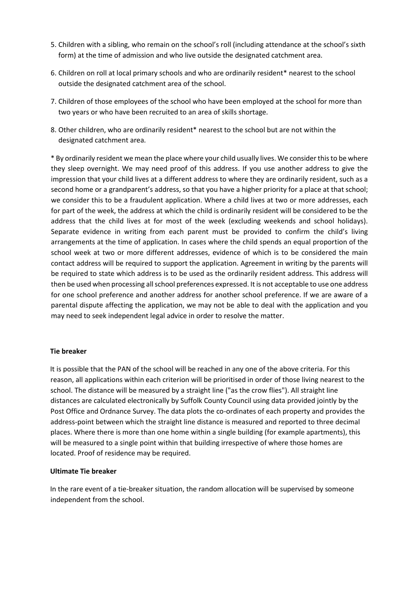- 5. Children with a sibling, who remain on the school's roll (including attendance at the school's sixth form) at the time of admission and who live outside the designated catchment area.
- 6. Children on roll at local primary schools and who are ordinarily resident\* nearest to the school outside the designated catchment area of the school.
- 7. Children of those employees of the school who have been employed at the school for more than two years or who have been recruited to an area of skills shortage.
- 8. Other children, who are ordinarily resident\* nearest to the school but are not within the designated catchment area.

\* By ordinarily resident we mean the place where your child usually lives. We consider this to be where they sleep overnight. We may need proof of this address. If you use another address to give the impression that your child lives at a different address to where they are ordinarily resident, such as a second home or a grandparent's address, so that you have a higher priority for a place at that school; we consider this to be a fraudulent application. Where a child lives at two or more addresses, each for part of the week, the address at which the child is ordinarily resident will be considered to be the address that the child lives at for most of the week (excluding weekends and school holidays). Separate evidence in writing from each parent must be provided to confirm the child's living arrangements at the time of application. In cases where the child spends an equal proportion of the school week at two or more different addresses, evidence of which is to be considered the main contact address will be required to support the application. Agreement in writing by the parents will be required to state which address is to be used as the ordinarily resident address. This address will then be used when processing all school preferences expressed. It is not acceptable to use one address for one school preference and another address for another school preference. If we are aware of a parental dispute affecting the application, we may not be able to deal with the application and you may need to seek independent legal advice in order to resolve the matter.

#### **Tie breaker**

It is possible that the PAN of the school will be reached in any one of the above criteria. For this reason, all applications within each criterion will be prioritised in order of those living nearest to the school. The distance will be measured by a straight line ("as the crow flies"). All straight line distances are calculated electronically by Suffolk County Council using data provided jointly by the Post Office and Ordnance Survey. The data plots the co-ordinates of each property and provides the address-point between which the straight line distance is measured and reported to three decimal places. Where there is more than one home within a single building (for example apartments), this will be measured to a single point within that building irrespective of where those homes are located. Proof of residence may be required.

#### **Ultimate Tie breaker**

In the rare event of a tie-breaker situation, the random allocation will be supervised by someone independent from the school.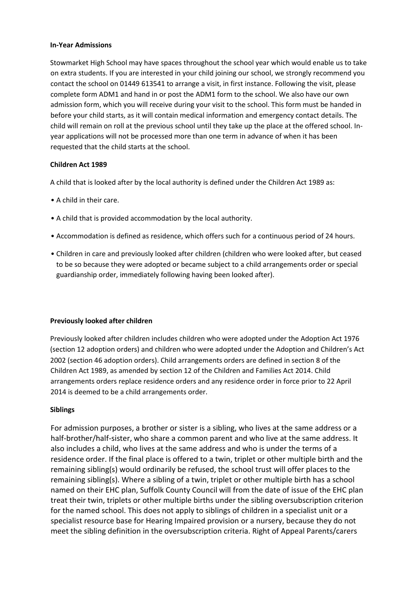## **In-Year Admissions**

Stowmarket High School may have spaces throughout the school year which would enable us to take on extra students. If you are interested in your child joining our school, we strongly recommend you contact the school on 01449 613541 to arrange a visit, in first instance. Following the visit, please complete form ADM1 and hand in or post the ADM1 form to the school. We also have our own admission form, which you will receive during your visit to the school. This form must be handed in before your child starts, as it will contain medical information and emergency contact details. The child will remain on roll at the previous school until they take up the place at the offered school. Inyear applications will not be processed more than one term in advance of when it has been requested that the child starts at the school.

# **Children Act 1989**

A child that is looked after by the local authority is defined under the Children Act 1989 as:

- A child in their care.
- A child that is provided accommodation by the local authority.
- Accommodation is defined as residence, which offers such for a continuous period of 24 hours.
- Children in care and previously looked after children (children who were looked after, but ceased to be so because they were adopted or became subject to a child arrangements order or special guardianship order, immediately following having been looked after).

#### **Previously looked after children**

Previously looked after children includes children who were adopted under the Adoption Act 1976 (section 12 adoption orders) and children who were adopted under the Adoption and Children's Act 2002 (section 46 adoption orders). Child arrangements orders are defined in section 8 of the Children Act 1989, as amended by section 12 of the Children and Families Act 2014. Child arrangements orders replace residence orders and any residence order in force prior to 22 April 2014 is deemed to be a child arrangements order.

#### **Siblings**

For admission purposes, a brother or sister is a sibling, who lives at the same address or a half-brother/half-sister, who share a common parent and who live at the same address. It also includes a child, who lives at the same address and who is under the terms of a residence order. If the final place is offered to a twin, triplet or other multiple birth and the remaining sibling(s) would ordinarily be refused, the school trust will offer places to the remaining sibling(s). Where a sibling of a twin, triplet or other multiple birth has a school named on their EHC plan, Suffolk County Council will from the date of issue of the EHC plan treat their twin, triplets or other multiple births under the sibling oversubscription criterion for the named school. This does not apply to siblings of children in a specialist unit or a specialist resource base for Hearing Impaired provision or a nursery, because they do not meet the sibling definition in the oversubscription criteria. Right of Appeal Parents/carers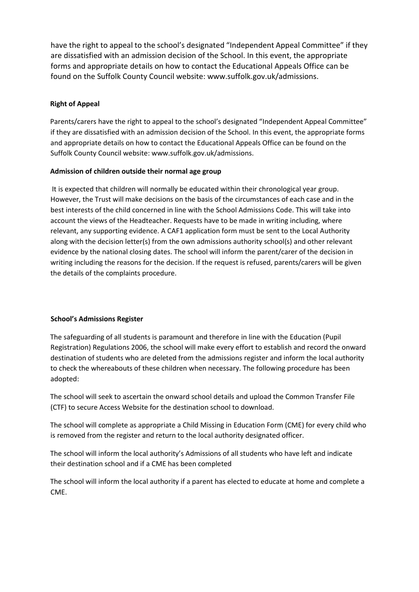have the right to appeal to the school's designated "Independent Appeal Committee" if they are dissatisfied with an admission decision of the School. In this event, the appropriate forms and appropriate details on how to contact the Educational Appeals Office can be found on the Suffolk County Council website: www.suffolk.gov.uk/admissions.

# **Right of Appeal**

Parents/carers have the right to appeal to the school's designated "Independent Appeal Committee" if they are dissatisfied with an admission decision of the School. In this event, the appropriate forms and appropriate details on how to contact the Educational Appeals Office can be found on the Suffolk County Council website: www.suffolk.gov.uk/admissions.

# **Admission of children outside their normal age group**

It is expected that children will normally be educated within their chronological year group. However, the Trust will make decisions on the basis of the circumstances of each case and in the best interests of the child concerned in line with the School Admissions Code. This will take into account the views of the Headteacher. Requests have to be made in writing including, where relevant, any supporting evidence. A CAF1 application form must be sent to the Local Authority along with the decision letter(s) from the own admissions authority school(s) and other relevant evidence by the national closing dates. The school will inform the parent/carer of the decision in writing including the reasons for the decision. If the request is refused, parents/carers will be given the details of the complaints procedure.

# **School's Admissions Register**

The safeguarding of all students is paramount and therefore in line with the Education (Pupil Registration) Regulations 2006, the school will make every effort to establish and record the onward destination of students who are deleted from the admissions register and inform the local authority to check the whereabouts of these children when necessary. The following procedure has been adopted:

The school will seek to ascertain the onward school details and upload the Common Transfer File (CTF) to secure Access Website for the destination school to download.

The school will complete as appropriate a Child Missing in Education Form (CME) for every child who is removed from the register and return to the local authority designated officer.

The school will inform the local authority's Admissions of all students who have left and indicate their destination school and if a CME has been completed

The school will inform the local authority if a parent has elected to educate at home and complete a CME.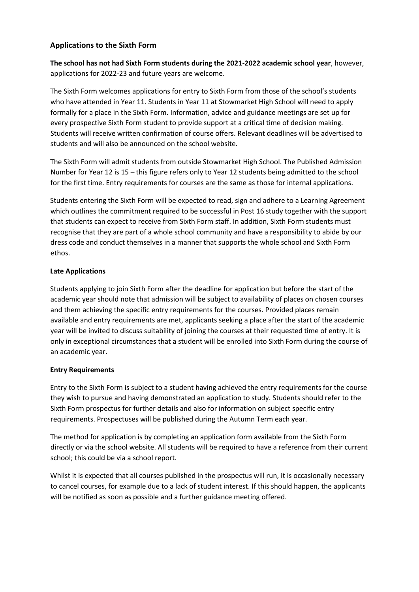# **Applications to the Sixth Form**

**The school has not had Sixth Form students during the 2021-2022 academic school year**, however, applications for 2022-23 and future years are welcome.

The Sixth Form welcomes applications for entry to Sixth Form from those of the school's students who have attended in Year 11. Students in Year 11 at Stowmarket High School will need to apply formally for a place in the Sixth Form. Information, advice and guidance meetings are set up for every prospective Sixth Form student to provide support at a critical time of decision making. Students will receive written confirmation of course offers. Relevant deadlines will be advertised to students and will also be announced on the school website.

The Sixth Form will admit students from outside Stowmarket High School. The Published Admission Number for Year 12 is 15 – this figure refers only to Year 12 students being admitted to the school for the first time. Entry requirements for courses are the same as those for internal applications.

Students entering the Sixth Form will be expected to read, sign and adhere to a Learning Agreement which outlines the commitment required to be successful in Post 16 study together with the support that students can expect to receive from Sixth Form staff. In addition, Sixth Form students must recognise that they are part of a whole school community and have a responsibility to abide by our dress code and conduct themselves in a manner that supports the whole school and Sixth Form ethos.

# **Late Applications**

Students applying to join Sixth Form after the deadline for application but before the start of the academic year should note that admission will be subject to availability of places on chosen courses and them achieving the specific entry requirements for the courses. Provided places remain available and entry requirements are met, applicants seeking a place after the start of the academic year will be invited to discuss suitability of joining the courses at their requested time of entry. It is only in exceptional circumstances that a student will be enrolled into Sixth Form during the course of an academic year.

# **Entry Requirements**

Entry to the Sixth Form is subject to a student having achieved the entry requirements for the course they wish to pursue and having demonstrated an application to study. Students should refer to the Sixth Form prospectus for further details and also for information on subject specific entry requirements. Prospectuses will be published during the Autumn Term each year.

The method for application is by completing an application form available from the Sixth Form directly or via the school website. All students will be required to have a reference from their current school; this could be via a school report.

Whilst it is expected that all courses published in the prospectus will run, it is occasionally necessary to cancel courses, for example due to a lack of student interest. If this should happen, the applicants will be notified as soon as possible and a further guidance meeting offered.